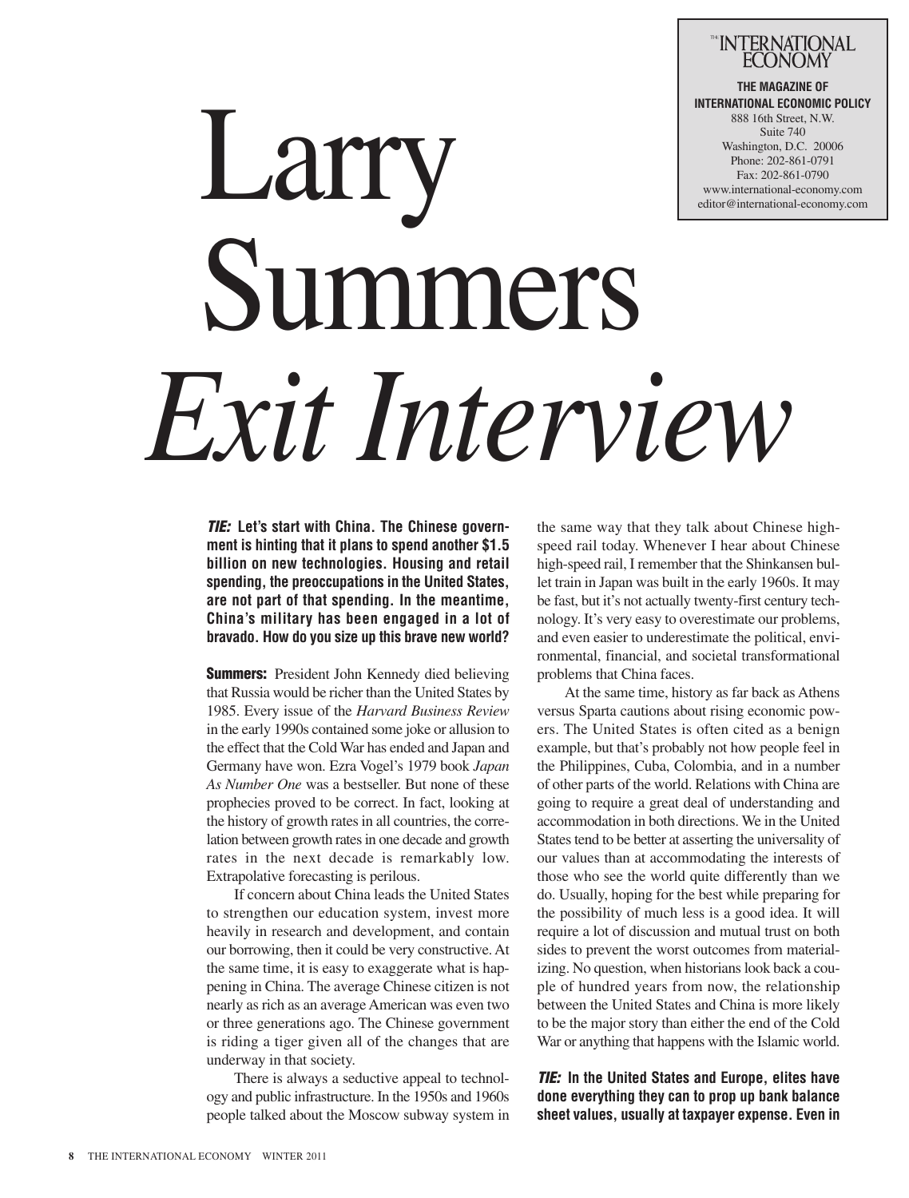## INTERNATIONAL

**THE MAGAZINE OF INTERNATIONAL ECONOMIC POLICY** 888 16th Street, N.W. Suite 740 Washington, D.C. 20006 Phone: 202-861-0791 Fax: 202-861-0790 www.international-economy.com editor@international-economy.com

# Larry Summers *Exit Interview*

*TIE:* **Let's start with China. The Chinese government is hinting that it plans to spend another \$1.5 billion on new technologies. Housing and retail spending, the preoccupations in the United States, are not part of that spending. In the meantime, China's military has been engaged in a lot of bravado. How do you size up this brave new world?**

**Summers:** President John Kennedy died believing that Russia would be richer than the United States by 1985. Every issue of the *Harvard Business Review* in the early 1990s contained some joke or allusion to the effect that the Cold War has ended and Japan and Germany have won. Ezra Vogel's 1979 book *Japan As Number One* was a bestseller. But none of these prophecies proved to be correct. In fact, looking at the history of growth rates in all countries, the correlation between growth rates in one decade and growth rates in the next decade is remarkably low. Extrapolative forecasting is perilous.

If concern about China leads the United States to strengthen our education system, invest more heavily in research and development, and contain our borrowing, then it could be very constructive.At the same time, it is easy to exaggerate what is happening in China. The average Chinese citizen is not nearly as rich as an averageAmerican was even two or three generations ago. The Chinese government is riding a tiger given all of the changes that are underway in that society.

There is always a seductive appeal to technology and public infrastructure. In the 1950s and 1960s people talked about the Moscow subway system in the same way that they talk about Chinese highspeed rail today. Whenever I hear about Chinese high-speed rail, I remember that the Shinkansen bullet train in Japan was built in the early 1960s. It may be fast, but it's not actually twenty-first century technology. It's very easy to overestimate our problems, and even easier to underestimate the political, environmental, financial, and societal transformational problems that China faces.

At the same time, history as far back as Athens versus Sparta cautions about rising economic powers. The United States is often cited as a benign example, but that's probably not how people feel in the Philippines, Cuba, Colombia, and in a number of other parts of the world. Relations with China are going to require a great deal of understanding and accommodation in both directions. We in the United States tend to be better at asserting the universality of our values than at accommodating the interests of those who see the world quite differently than we do. Usually, hoping for the best while preparing for the possibility of much less is a good idea. It will require a lot of discussion and mutual trust on both sides to prevent the worst outcomes from materializing. No question, when historians look back a couple of hundred years from now, the relationship between the United States and China is more likely to be the major story than either the end of the Cold War or anything that happens with the Islamic world.

*TIE:* **In the United States and Europe, elites have done everything they can to prop up bank balance sheet values, usually at taxpayer expense. Even in**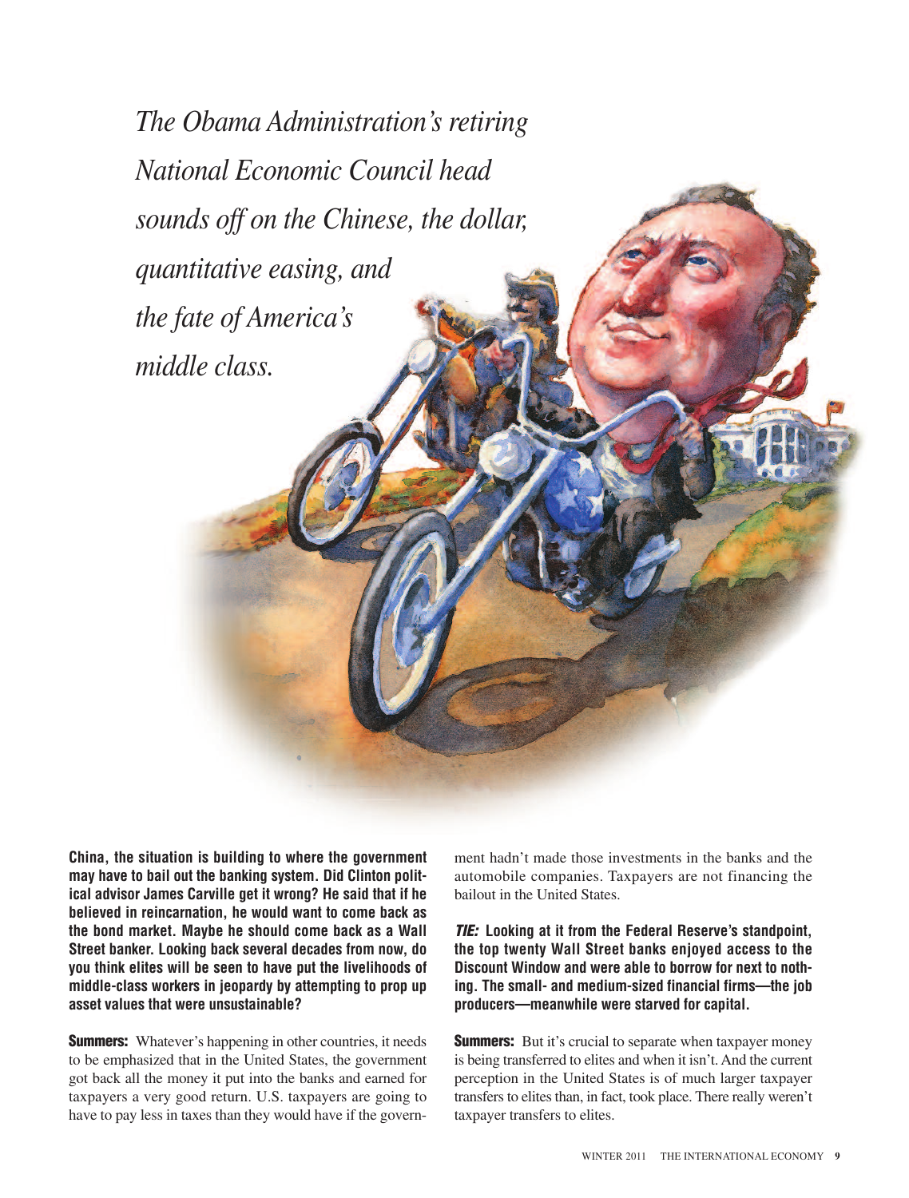*The Obama Administration's retiring National Economic Council head sounds off on the Chinese, the dollar, quantitative easing, and the fate of America's middle class.*

**China, the situation is building to where the government may have to bail out the banking system. Did Clinton political advisor James Carville get it wrong? He said that if he believed in reincarnation, he would want to come back as the bond market. Maybe he should come back as a Wall Street banker. Looking back several decades from now, do you think elites will be seen to have put the livelihoods of middle-class workers in jeopardy by attempting to prop up asset values that were unsustainable?**

**Summers:** Whatever's happening in other countries, it needs to be emphasized that in the United States, the government got back all the money it put into the banks and earned for taxpayers a very good return. U.S. taxpayers are going to have to pay less in taxes than they would have if the govern-

ment hadn't made those investments in the banks and the automobile companies. Taxpayers are not financing the bailout in the United States.

*TIE:* **Looking at it from the Federal Reserve's standpoint, the top twenty Wall Street banks enjoyed access to the Discount Window and were able to borrow for next to nothing. The small- and medium-sized financial firms—the job producers—meanwhile were starved for capital.**

**Summers:** But it's crucial to separate when taxpayer money is being transferred to elites and when it isn't. And the current perception in the United States is of much larger taxpayer transfers to elites than, in fact, took place. There really weren't taxpayer transfers to elites.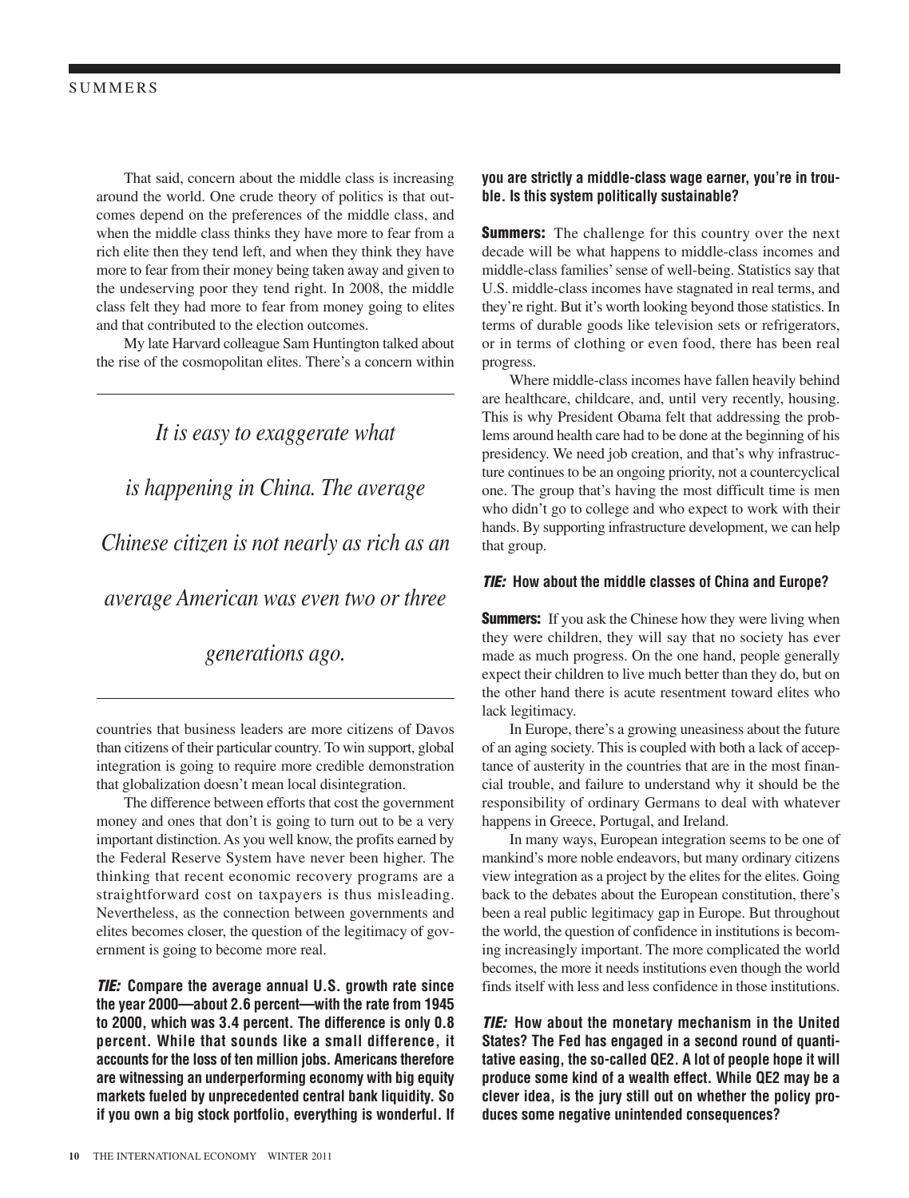That said, concern about the middle class is increasing around the world. One crude theory of politics is that outcomes depend on the preferences of the middle class, and when the middle class thinks they have more to fear from a rich elite then they tend left, and when they think they have more to fear from their money being taken away and given to the undeserving poor they tend right. In 2008, the middle class felt they had more to fear from money going to elites and that contributed to the election outcomes.

My late Harvard colleague Sam Huntington talked about the rise of the cosmopolitan elites. There's a concern within

*It is easy to exaggerate what is happening in China. The average Chinese citizen is not nearly as rich as an average American was even two or three*

*generations ago.*

countries that business leaders are more citizens of Davos than citizens of their particular country. To win support, global integration is going to require more credible demonstration that globalization doesn't mean local disintegration.

The difference between efforts that cost the government money and ones that don't is going to turn out to be a very important distinction.As you well know, the profits earned by the Federal Reserve System have never been higher. The thinking that recent economic recovery programs are a straightforward cost on taxpayers is thus misleading. Nevertheless, as the connection between governments and elites becomes closer, the question of the legitimacy of government is going to become more real.

*TIE:* **Compare the average annual U.S. growth rate since the year 2000—about 2.6 percent—with the rate from 1945 to 2000, which was 3.4 percent. The difference is only 0.8 percent. While that sounds like a small difference, it accounts for the loss of ten million jobs. Americans therefore are witnessing an underperforming economy with big equity markets fueled by unprecedented central bank liquidity. So if you own a big stock portfolio, everything is wonderful. If**

#### **you are strictly a middle-class wage earner, you're in trouble. Is this system politically sustainable?**

**Summers:** The challenge for this country over the next decade will be what happens to middle-class incomes and middle-class families'sense of well-being. Statistics say that U.S. middle-class incomes have stagnated in real terms, and they're right. But it's worth looking beyond those statistics. In terms of durable goods like television sets or refrigerators, or in terms of clothing or even food, there has been real progress.

Where middle-class incomes have fallen heavily behind are healthcare, childcare, and, until very recently, housing. This is why President Obama felt that addressing the problems around health care had to be done at the beginning of his presidency. We need job creation, and that's why infrastructure continues to be an ongoing priority, not a countercyclical one. The group that's having the most difficult time is men who didn't go to college and who expect to work with their hands. By supporting infrastructure development, we can help that group.

#### *TIE:* **How about the middle classes of China and Europe?**

**Summers:** If you ask the Chinese how they were living when they were children, they will say that no society has ever made as much progress. On the one hand, people generally expect their children to live much better than they do, but on the other hand there is acute resentment toward elites who lack legitimacy.

In Europe, there's a growing uneasiness about the future of an aging society. This is coupled with both a lack of acceptance of austerity in the countries that are in the most financial trouble, and failure to understand why it should be the responsibility of ordinary Germans to deal with whatever happens in Greece, Portugal, and Ireland.

In many ways, European integration seems to be one of mankind's more noble endeavors, but many ordinary citizens view integration as a project by the elites for the elites. Going back to the debates about the European constitution, there's been a real public legitimacy gap in Europe. But throughout the world, the question of confidence in institutions is becoming increasingly important. The more complicated the world becomes, the more it needs institutions even though the world finds itself with less and less confidence in those institutions.

*TIE:* **How about the monetary mechanism in the United States? The Fed has engaged in a second round of quantitative easing, the so-called QE2. A lot of people hope it will produce some kind of a wealth effect. While QE2 may be a clever idea, is the jury still out on whether the policy produces some negative unintended consequences?**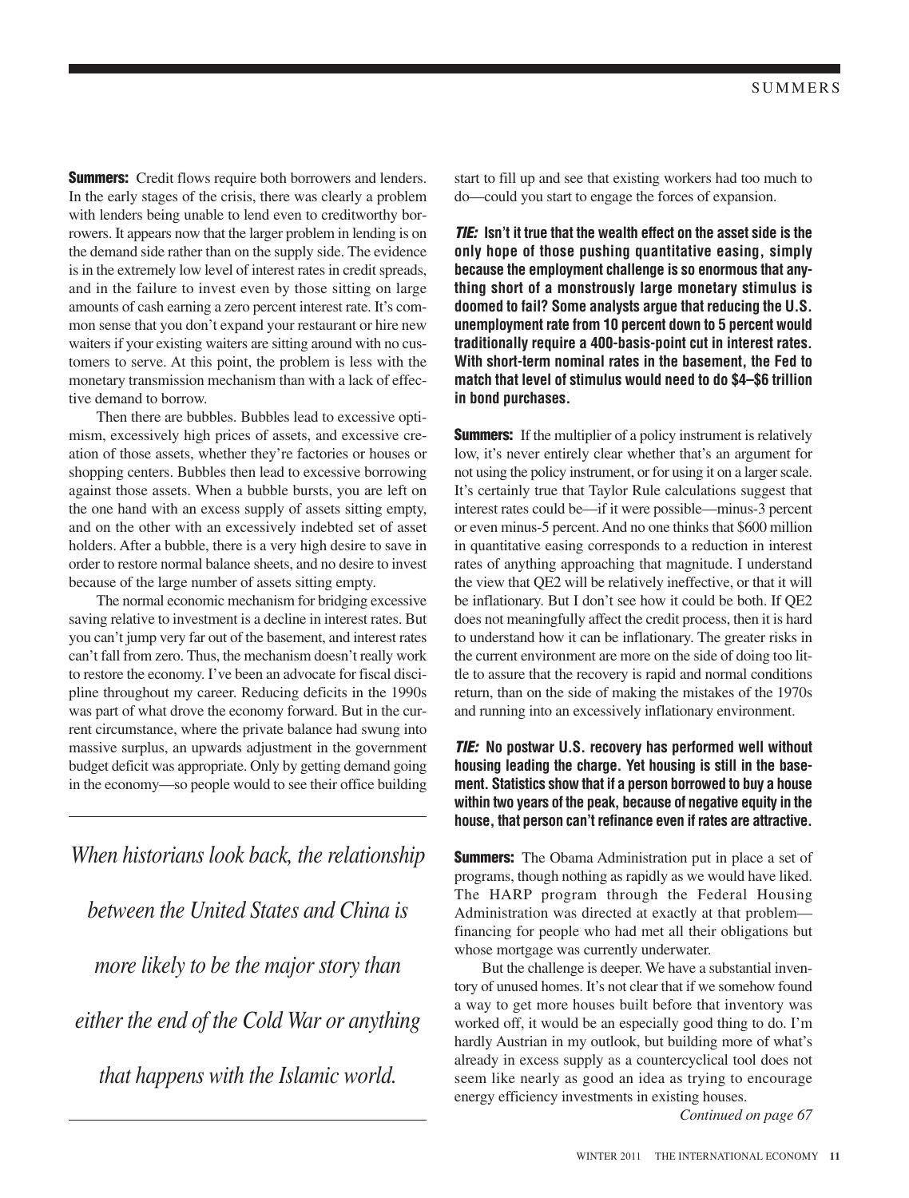**Summers:** Credit flows require both borrowers and lenders. In the early stages of the crisis, there was clearly a problem with lenders being unable to lend even to creditworthy borrowers. It appears now that the larger problem in lending is on the demand side rather than on the supply side. The evidence is in the extremely low level of interest rates in credit spreads, and in the failure to invest even by those sitting on large amounts of cash earning a zero percent interest rate. It's common sense that you don't expand your restaurant or hire new waiters if your existing waiters are sitting around with no customers to serve. At this point, the problem is less with the monetary transmission mechanism than with a lack of effective demand to borrow.

Then there are bubbles. Bubbles lead to excessive optimism, excessively high prices of assets, and excessive creation of those assets, whether they're factories or houses or shopping centers. Bubbles then lead to excessive borrowing against those assets. When a bubble bursts, you are left on the one hand with an excess supply of assets sitting empty, and on the other with an excessively indebted set of asset holders. After a bubble, there is a very high desire to save in order to restore normal balance sheets, and no desire to invest because of the large number of assets sitting empty.

The normal economic mechanism for bridging excessive saving relative to investment is a decline in interest rates. But you can't jump very far out of the basement, and interest rates can't fall from zero. Thus, the mechanism doesn't really work to restore the economy. I've been an advocate for fiscal discipline throughout my career. Reducing deficits in the 1990s was part of what drove the economy forward. But in the current circumstance, where the private balance had swung into massive surplus, an upwards adjustment in the government budget deficit was appropriate. Only by getting demand going in the economy—so people would to see their office building

*When historians look back, the relationship between the United States and China is more likely to be the major story than either the end of the Cold War or anything that happens with the Islamic world.*

start to fill up and see that existing workers had too much to do—could you start to engage the forces of expansion.

*TIE:* **Isn't it true that the wealth effect on the asset side is the only hope of those pushing quantitative easing, simply because the employment challenge is so enormous that anything short of a monstrously large monetary stimulus is doomed to fail? Some analysts argue that reducing the U.S. unemployment rate from 10 percent down to 5 percent would traditionally require a 400-basis-point cut in interest rates. With short-term nominal rates in the basement, the Fed to match that level of stimulus would need to do \$4–\$6 trillion in bond purchases.**

**Summers:** If the multiplier of a policy instrument is relatively low, it's never entirely clear whether that's an argument for not using the policy instrument, or for using it on a larger scale. It's certainly true that Taylor Rule calculations suggest that interest rates could be—if it were possible—minus-3 percent or even minus-5 percent. And no one thinks that \$600 million in quantitative easing corresponds to a reduction in interest rates of anything approaching that magnitude. I understand the view that QE2 will be relatively ineffective, or that it will be inflationary. But I don't see how it could be both. If QE2 does not meaningfully affect the credit process, then it is hard to understand how it can be inflationary. The greater risks in the current environment are more on the side of doing too little to assure that the recovery is rapid and normal conditions return, than on the side of making the mistakes of the 1970s and running into an excessively inflationary environment.

*TIE:* **No postwar U.S. recovery has performed well without housing leading the charge. Yet housing is still in the basement. Statistics show that if a person borrowed to buy a house within two years of the peak, because of negative equity in the house, that person can't refinance even if rates are attractive.**

**Summers:** The Obama Administration put in place a set of programs, though nothing as rapidly as we would have liked. The HARP program through the Federal Housing Administration was directed at exactly at that problem financing for people who had met all their obligations but whose mortgage was currently underwater.

But the challenge is deeper. We have a substantial inventory of unused homes. It's not clear that if we somehow found a way to get more houses built before that inventory was worked off, it would be an especially good thing to do. I'm hardly Austrian in my outlook, but building more of what's already in excess supply as a countercyclical tool does not seem like nearly as good an idea as trying to encourage energy efficiency investments in existing houses.

*Continued on page 67*